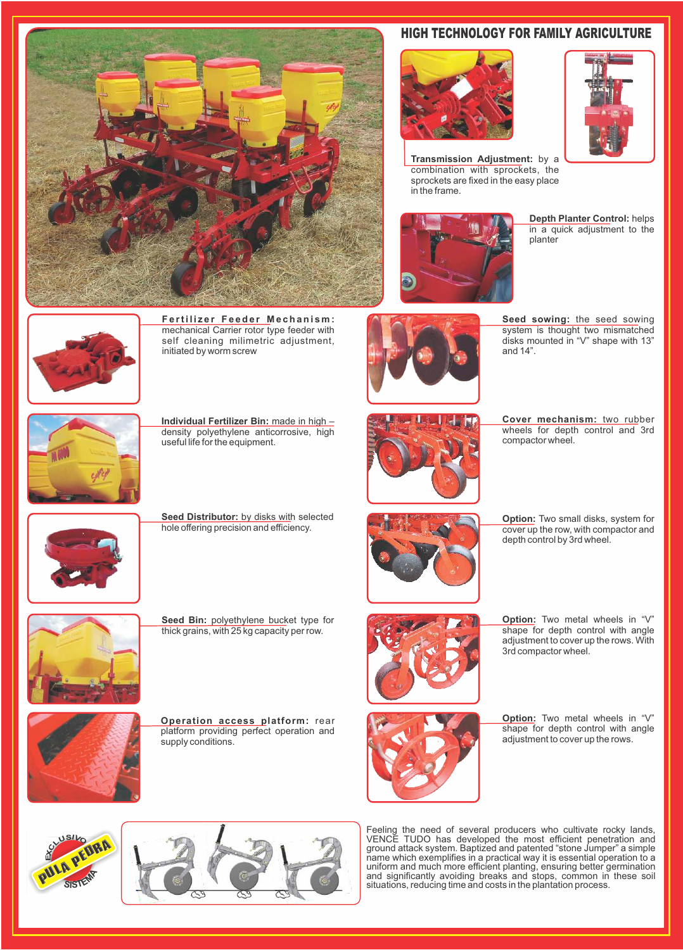

## HIGH TECHNOLOGY FOR FAMILY AGRICULTURE



**Fertilizer Feeder Mechanism:** mechanical Carrier rotor type feeder with self cleaning milimetric adjustment, initiated by worm screw



**Transmission Adjustment:** by a combination with sprockets, the sprockets are fixed in the easy place in the frame.



**Depth Planter Control:** helps in a quick adjustment to the planter



**Seed Distributor:** by disks with selected hole offering precision and efficiency.



Seed Bin: polyethylene bucket type for thick grains, with 25 kg capacity per row.

Feeling the need of several producers who cultivate rocky lands, VENCE TUDO has developed the most efficient penetration and ground attack system. Baptized and patented "stone Jumper" a simple name which exemplifies in a practical way it is essential operation to a uniform and much more efficient planting, ensuring better germination and significantly avoiding breaks and stops, common in these soil situations, reducing time and costs in the plantation process.



**Option:** Two small disks, system for cover up the row, with compactor and depth control by 3rd wheel.





**Individual Fertilizer Bin:** made in high – density polyethylene anticorrosive, high useful life for the equipment.

**Operation access platform:** rear platform providing perfect operation and supply conditions.





**Seed sowing:** the seed sowing system is thought two mismatched disks mounted in "V" shape with 13" and 14".



**Cover mechanism:** two rubber wheels for depth control and 3rd compactor wheel.

**Option:** Two metal wheels in "V" shape for depth control with angle adjustment to cover up the rows.



**Option:** Two metal wheels in "V" shape for depth control with angle adjustment to cover up the rows. With 3rd compactor wheel.